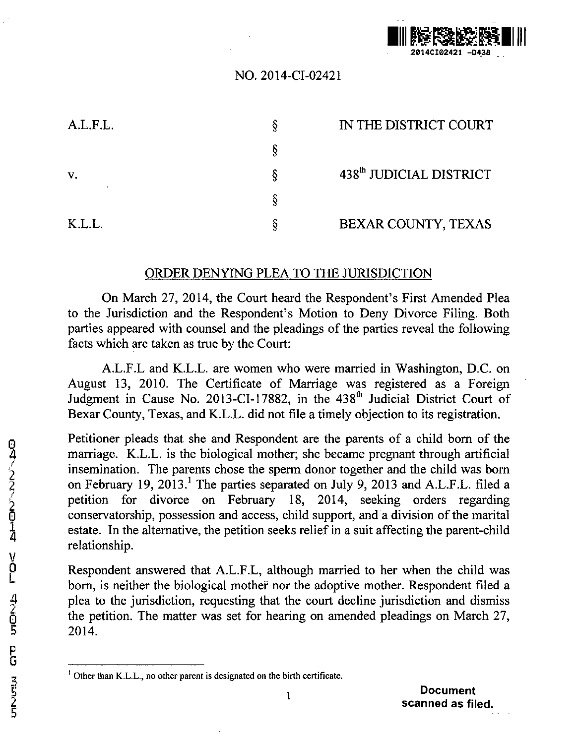

## NO. 2014-CI-02421

| A.L.F.L. | IN THE DISTRICT COURT               |
|----------|-------------------------------------|
|          |                                     |
| V.       | 438 <sup>th</sup> JUDICIAL DISTRICT |
|          |                                     |
| K.L.L.   | BEXAR COUNTY, TEXAS                 |

## ORDER DENYING PLEA TO THE JURISDICTION

On March 27, 2014, the Court heard the Respondent's First Amended Plea to the Jurisdiction and the Respondent's Motion to Deny Divorce Filing. Both parties appeared with counsel and the pleadings of the parties reveal the following facts which are taken as true by the Court:

A.L.F.L and K.L.L. are women who were married in Washington, D.C. on August 13, 2010. The Certificate of Marriage was registered as a Foreign Judgment in Cause No. 2013-CI-17882, in the 438<sup>th</sup> Judicial District Court of Bexar County, Texas, and K.L.L. did not file a timely objection to its registration.

Petitioner pleads that she and Respondent are the parents of a child born of the marriage. K.L.L. is the biological mother; she became pregnant through artificial insemination. The parents chose the sperm donor together and the child was born 2<br>
2 marriage. K.L.L. is the biological mother; she became pregnant through artificial<br>
insemination. The parents chose the sperm donor together and the child was born<br>
on February 19, 2013.<sup>1</sup> The parties separated on Jul petition for divorce on February 18, 2014, seeking orders regarding 0 conservatorship, possession and access, child support, and a division of the marital estate. In the alternative, the petition seeks relief in a suit affecting the parent-child relationship.

Respondent answered that A.L.F.L, although married to her when the child was born, is neither the biological mothei nor the adoptive mother. Respondent filed a plea to the jurisdiction, requesting that the court decline jurisdiction and dismiss the petition. The matter was set for hearing on amended pleadings on March 27,  $\begin{array}{ccc} 4 & \text{plea} \ 2 & \text{the} \ \hline 5 & \text{2014.} \end{array}$ 

**Other than** K.L.L., **no other parent is designated on the birth certificate.**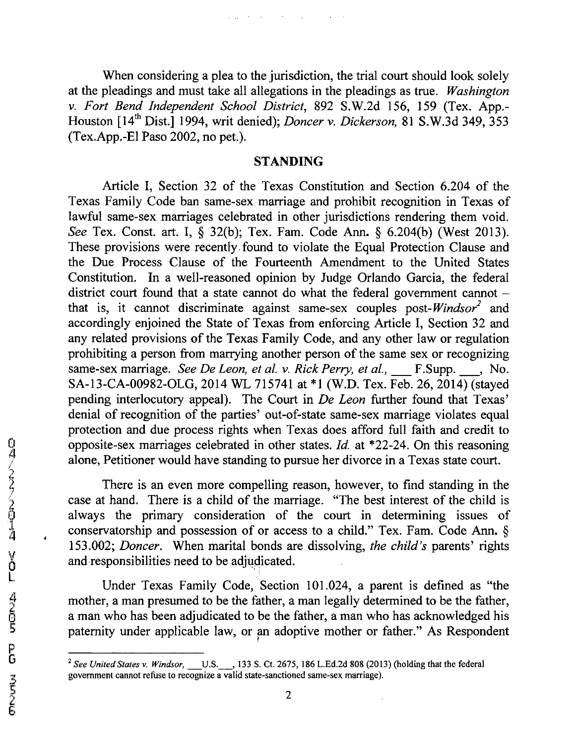When considering a plea to the jurisdiction, the trial court should look solely at the pleadings and must take all allegations in the pleadings as true. *Washington v. Fort Bend Independent School District,* 892 S.W.2d 156, 159 (Tex. App.- Houston [14th Dist.] 1994, writ denied); *Doncer v. Dickerson,* 81 S.W.3d 349, 353 (Tex.App.-El Paso 2002, no pet.).

 $\omega_{\rm{max}}$  , where  $\omega_{\rm{max}}$  is the contract of the contract of  $\omega_{\rm{max}}$ 

## STANDING

Article I, Section 32 of the Texas Constitution and Section 6.204 of the Texas Family Code ban same-sex marriage and prohibit recognition in Texas of lawftil same-sex marriages celebrated in other jurisdictions rendering them void. *See* Tex. Const. art. I, § 32(b); Tex. Fam. Code Ann. § 6.204(b) (West 2013). These provisions were recently. found to violate the Equal Protection Clause and the Due Process Clause of the Fourteenth Amendment to the United States Constitution. In a well-reasoned opinion by Judge Orlando Garcia, the federal district court found that a state cannot do what the federal government cannot that is, it cannot discriminate against same-sex couples *post-Windsor2* and accordingly enjoined the State of Texas from enforcing Article I, Section 32 and any related provisions of the Texas Family Code, and any other law or regulation prohibiting a person from marrying another person of the same sex or recognizing same-sex marriage. *See De Leon, et al. v. Rick Perry, et al.*, \_\_\_ F.Supp. \_\_\_, No. SA-13-CA-00982-OLG, 2014 WL 715741 at \*1 (W.D. Tex. Feb. 26,2014) (stayed pending interlocutory appeal). The Court in *De Leon* further found that Texas' denial of recognition of the parties' out-of-state same-sex marriage violates equal protection and due process rights when Texas does afford full faith and credit to opposite-sex marriages celebrated in other states. *Id.* at \*22-24. On this reasoning alone, Petitioner would have standing to pursue her divorce in a Texas state court.

There is an even more compelling reason, however, to find standing in the case at hand. There is a child of the marriage. "The best interest of the child is always the primary consideration of the court in determining issues of conservatorship and possession of or access to a child." Tex. Fam. Code Ann. § 153.002; *Doncer.* When marital bonds are dissolving, *the child's* parents' rights and responsibilities need to be adjudicated.

Under Texas Family Code, Section 101.024, a parent is defined as "the mother, a man presumed to be the father, a man legally determined to be the father, a man who has been adjudicated to be the father, a man who has acknowledged his paternity under applicable law, or an adoptive mother or father." As Respondent

9.

 $\bar{z}$ 

<sup>&</sup>lt;sup>2</sup> See United States v. Windsor, U.S., 133 S. Ct. 2675, 186 L.Ed.2d 808 (2013) (holding that the federal government cannot refuse to recognize a valid state-sanctioned same-sex marriage).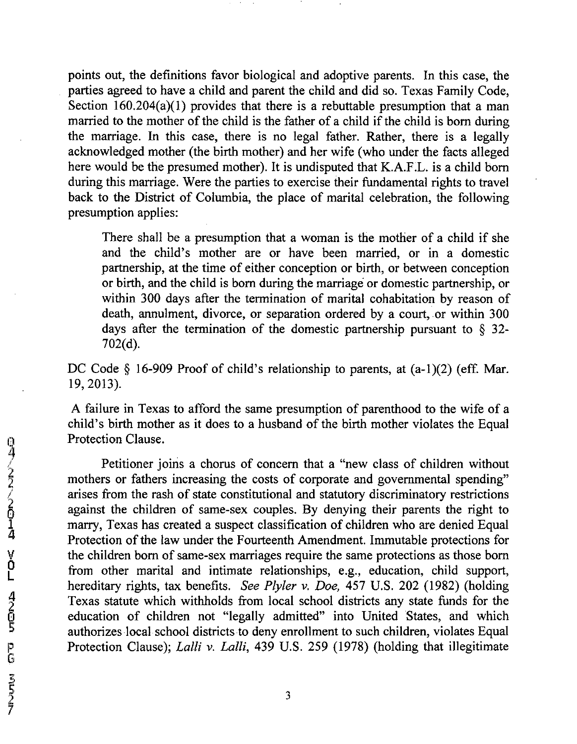points out, the definitions favor biological and adoptive parents. In this case, the parties agreed to have a child and parent the child and did so. Texas Family Code, Section  $160.204(a)(1)$  provides that there is a rebuttable presumption that a man married to the mother of the child is the father of a child if the child is born during the marriage. In this case, there is no legal father. Rather, there is a legally acknowledged mother (the birth mother) and her wife (who under the facts alleged here would be the presumed mother). It is undisputed that K.A.F.L. is a child born during this marriage. Were the parties to exercise their fundamental rights to travel back to the District of Columbia, the place of marital celebration, the following presumption applies:

There shall be a presumption that a woman is the mother of a child if she and the child's mother are or have been married, or in a domestic partnership, at the time of either conception or birth, or between conception or birth, and the child is born during the marriage or domestic partnership, or within 300 days after the termination of marital cohabitation by reason of death, annulment, divorce, or separation ordered by a court, or within 300 days after the termination of the domestic partnership pursuant to  $\S$  32-702(d).

DC Code § 16-909 Proof of child's relationship to parents, at  $(a-1)(2)$  (eff. Mar. 19, 2013).

A failure in Texas to afford the same presumption of parenthood to the wife of a child's birth mother as it does to a husband of the birth mother violates the Equal Protection Clause.

Petitioner joins a chorus of concern that a "new class of children without mothers or fathers increasing the costs of corporate and governmental spending" arises from the rash of state constitutional and statutory discriminatory restrictions against the children of same-sex couples. By denying their parents the right to marry, Texas has created a suspect classification of children who are denied Equal Protection of the law under the Fourteenth Amendment. Immutable protections for the children born of same-sex marriages require the same protections as those born from other marital and intimate relationships, e.g., education, child support, hereditary rights, tax benefits. *See Plyler v. Doe,* 457 U.S. 202 (1982) (holding Texas statute which withholds from local school districts any state finds for the education of children not "legally admitted" into United States, and which authorizes local school districts to deny enrollment to such children, violates Equal Protection Clause); *Lalli v. Lalli*, 439 U.S. 259 (1978) (holding that illegitimate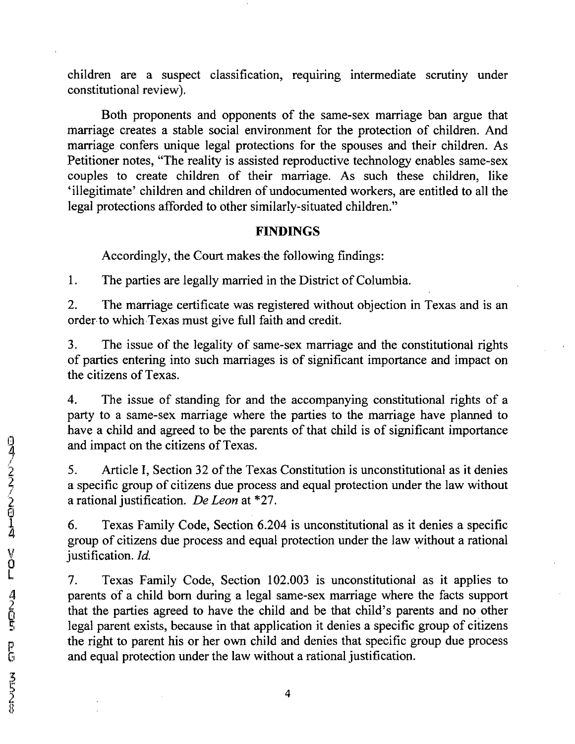children are a suspect classification, requiring intermediate scrutiny under constitutional review).

Both proponents and opponents of the same-sex marriage ban argue that marriage creates a stable social environment for the protection of children. And marriage confers unique legal protections for the spouses and their children. As Petitioner notes, "The reality is assisted reproductive technology enables same-sex couples to create children of their marriage. As such these children, like 'illegitimate' children and children of undocumented workers, are entitled to all the legal protections afforded to other similarly-situated children."

## FINDINGS

Accordingly, the Court makes the following findings:

1. The parties are legally married in the District of Columbia.

2. The marriage certificate was registered without objection in Texas and is an order to which Texas must give full faith and credit.

3. The issue of the legality of same-sex marriage and the constitutional rights of parties entering into such marriages is of significant importance and impact on the citizens of Texas.

4. The issue of standing for and the accompanying constitutional rights of a party to a same-sex marriage where the parties to the marriage have planned to have a child and agreed to be the parents of that child is of significant importance and impact on the citizens of Texas.

5. Article I, Section 32 of the Texas Constitution is unconstitutional as it denies a specific group of citizens due process and equal protection under the law without • rational justification. *De Leon* at \*27.

6. Texas Family Code, Section 6.204 is unconstitutional as it denies a specific group of citizens due process and equal protection under the law without a rational justification. *Id.* 

7. Texas Family Code, Section 102.003 is unconstitutional as it applies to parents of a child born during a legal same-sex marriage where the facts support that the parties agreed to have the child and be that child's parents and no other legal parent exists, because in that application it denies a specific group of citizens the right to parent his or her own child and denies that specific group due process and equal protection under the law without a rational justification.